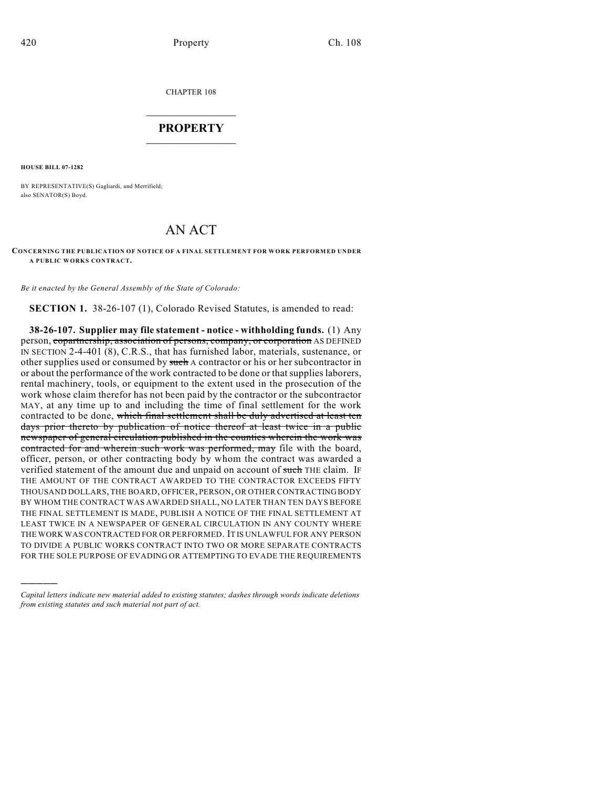CHAPTER 108

## $\mathcal{L}_\text{max}$  . The set of the set of the set of the set of the set of the set of the set of the set of the set of the set of the set of the set of the set of the set of the set of the set of the set of the set of the set **PROPERTY**  $\_$   $\_$   $\_$   $\_$   $\_$   $\_$   $\_$   $\_$   $\_$

**HOUSE BILL 07-1282**

)))))

BY REPRESENTATIVE(S) Gagliardi, and Merrifield; also SENATOR(S) Boyd.

## AN ACT

## **CONCERNING THE PUBLICATION OF NOTICE OF A FINAL SETTLEMENT FOR WORK PERFORMED UNDER A PUBLIC WORKS CONTRACT.**

*Be it enacted by the General Assembly of the State of Colorado:*

**SECTION 1.** 38-26-107 (1), Colorado Revised Statutes, is amended to read:

**38-26-107. Supplier may file statement - notice - withholding funds.** (1) Any person, copartnership, association of persons, company, or corporation AS DEFINED IN SECTION 2-4-401 (8), C.R.S., that has furnished labor, materials, sustenance, or other supplies used or consumed by such A contractor or his or her subcontractor in or about the performance of the work contracted to be done or that supplies laborers, rental machinery, tools, or equipment to the extent used in the prosecution of the work whose claim therefor has not been paid by the contractor or the subcontractor MAY, at any time up to and including the time of final settlement for the work contracted to be done, which final settlement shall be duly advertised at least ten days prior thereto by publication of notice thereof at least twice in a public newspaper of general circulation published in the counties wherein the work was contracted for and wherein such work was performed, may file with the board, officer, person, or other contracting body by whom the contract was awarded a verified statement of the amount due and unpaid on account of such THE claim. IF THE AMOUNT OF THE CONTRACT AWARDED TO THE CONTRACTOR EXCEEDS FIFTY THOUSAND DOLLARS, THE BOARD, OFFICER, PERSON, OR OTHER CONTRACTING BODY BY WHOM THE CONTRACT WAS AWARDED SHALL, NO LATER THAN TEN DAYS BEFORE THE FINAL SETTLEMENT IS MADE, PUBLISH A NOTICE OF THE FINAL SETTLEMENT AT LEAST TWICE IN A NEWSPAPER OF GENERAL CIRCULATION IN ANY COUNTY WHERE THE WORK WAS CONTRACTED FOR OR PERFORMED. IT IS UNLAWFUL FOR ANY PERSON TO DIVIDE A PUBLIC WORKS CONTRACT INTO TWO OR MORE SEPARATE CONTRACTS FOR THE SOLE PURPOSE OF EVADING OR ATTEMPTING TO EVADE THE REQUIREMENTS

*Capital letters indicate new material added to existing statutes; dashes through words indicate deletions from existing statutes and such material not part of act.*